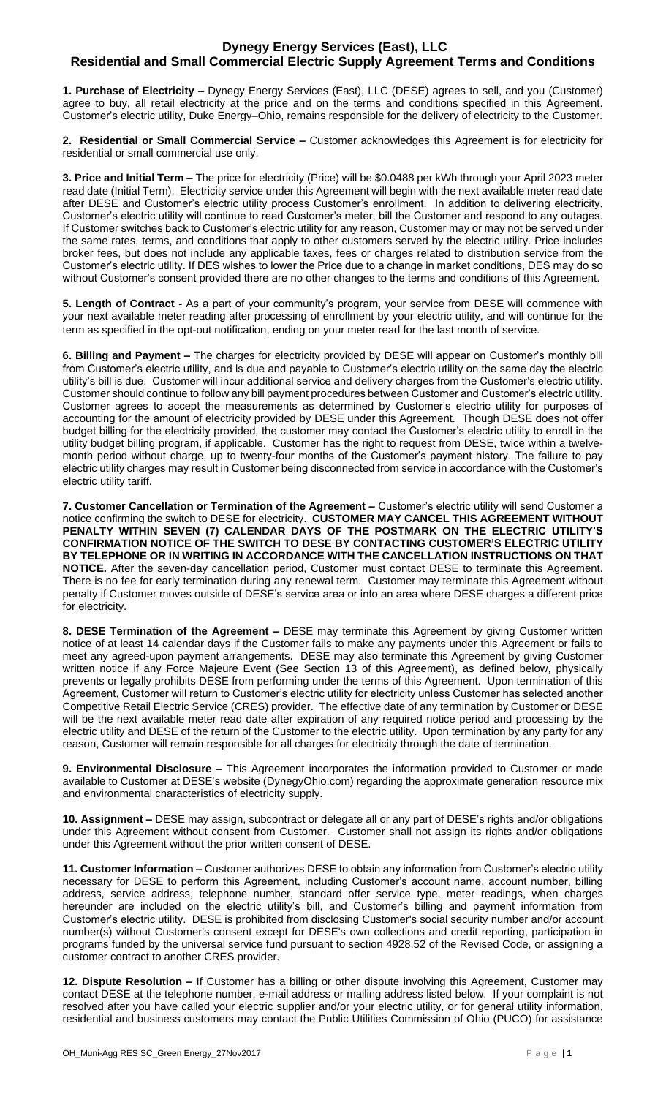## **Dynegy Energy Services (East), LLC Residential and Small Commercial Electric Supply Agreement Terms and Conditions**

**1. Purchase of Electricity –** Dynegy Energy Services (East), LLC (DESE) agrees to sell, and you (Customer) agree to buy, all retail electricity at the price and on the terms and conditions specified in this Agreement. Customer's electric utility, Duke Energy–Ohio, remains responsible for the delivery of electricity to the Customer.

**2. Residential or Small Commercial Service –** Customer acknowledges this Agreement is for electricity for residential or small commercial use only.

**3. Price and Initial Term –** The price for electricity (Price) will be \$0.0488 per kWh through your April 2023 meter read date (Initial Term). Electricity service under this Agreement will begin with the next available meter read date after DESE and Customer's electric utility process Customer's enrollment. In addition to delivering electricity, Customer's electric utility will continue to read Customer's meter, bill the Customer and respond to any outages. If Customer switches back to Customer's electric utility for any reason, Customer may or may not be served under the same rates, terms, and conditions that apply to other customers served by the electric utility. Price includes broker fees, but does not include any applicable taxes, fees or charges related to distribution service from the Customer's electric utility. If DES wishes to lower the Price due to a change in market conditions, DES may do so without Customer's consent provided there are no other changes to the terms and conditions of this Agreement.

**5. Length of Contract -** As a part of your community's program, your service from DESE will commence with your next available meter reading after processing of enrollment by your electric utility, and will continue for the term as specified in the opt-out notification, ending on your meter read for the last month of service.

**6. Billing and Payment –** The charges for electricity provided by DESE will appear on Customer's monthly bill from Customer's electric utility, and is due and payable to Customer's electric utility on the same day the electric utility's bill is due. Customer will incur additional service and delivery charges from the Customer's electric utility. Customer should continue to follow any bill payment procedures between Customer and Customer's electric utility. Customer agrees to accept the measurements as determined by Customer's electric utility for purposes of accounting for the amount of electricity provided by DESE under this Agreement. Though DESE does not offer budget billing for the electricity provided, the customer may contact the Customer's electric utility to enroll in the utility budget billing program, if applicable. Customer has the right to request from DESE, twice within a twelvemonth period without charge, up to twenty-four months of the Customer's payment history. The failure to pay electric utility charges may result in Customer being disconnected from service in accordance with the Customer's electric utility tariff.

**7. Customer Cancellation or Termination of the Agreement –** Customer's electric utility will send Customer a notice confirming the switch to DESE for electricity. **CUSTOMER MAY CANCEL THIS AGREEMENT WITHOUT PENALTY WITHIN SEVEN (7) CALENDAR DAYS OF THE POSTMARK ON THE ELECTRIC UTILITY'S CONFIRMATION NOTICE OF THE SWITCH TO DESE BY CONTACTING CUSTOMER'S ELECTRIC UTILITY BY TELEPHONE OR IN WRITING IN ACCORDANCE WITH THE CANCELLATION INSTRUCTIONS ON THAT NOTICE.** After the seven-day cancellation period, Customer must contact DESE to terminate this Agreement. There is no fee for early termination during any renewal term. Customer may terminate this Agreement without penalty if Customer moves outside of DESE's service area or into an area where DESE charges a different price for electricity.

**8. DESE Termination of the Agreement –** DESE may terminate this Agreement by giving Customer written notice of at least 14 calendar days if the Customer fails to make any payments under this Agreement or fails to meet any agreed-upon payment arrangements. DESE may also terminate this Agreement by giving Customer written notice if any Force Majeure Event (See Section 13 of this Agreement), as defined below, physically prevents or legally prohibits DESE from performing under the terms of this Agreement. Upon termination of this Agreement, Customer will return to Customer's electric utility for electricity unless Customer has selected another Competitive Retail Electric Service (CRES) provider. The effective date of any termination by Customer or DESE will be the next available meter read date after expiration of any required notice period and processing by the electric utility and DESE of the return of the Customer to the electric utility. Upon termination by any party for any reason, Customer will remain responsible for all charges for electricity through the date of termination.

**9. Environmental Disclosure –** This Agreement incorporates the information provided to Customer or made available to Customer at DESE's website (DynegyOhio.com) regarding the approximate generation resource mix and environmental characteristics of electricity supply.

**10. Assignment –** DESE may assign, subcontract or delegate all or any part of DESE's rights and/or obligations under this Agreement without consent from Customer. Customer shall not assign its rights and/or obligations under this Agreement without the prior written consent of DESE.

**11. Customer Information –** Customer authorizes DESE to obtain any information from Customer's electric utility necessary for DESE to perform this Agreement, including Customer's account name, account number, billing address, service address, telephone number, standard offer service type, meter readings, when charges hereunder are included on the electric utility's bill, and Customer's billing and payment information from Customer's electric utility. DESE is prohibited from disclosing Customer's social security number and/or account number(s) without Customer's consent except for DESE's own collections and credit reporting, participation in programs funded by the universal service fund pursuant to section 4928.52 of the Revised Code, or assigning a customer contract to another CRES provider.

**12. Dispute Resolution –** If Customer has a billing or other dispute involving this Agreement, Customer may contact DESE at the telephone number, e-mail address or mailing address listed below. If your complaint is not resolved after you have called your electric supplier and/or your electric utility, or for general utility information, residential and business customers may contact the Public Utilities Commission of Ohio (PUCO) for assistance